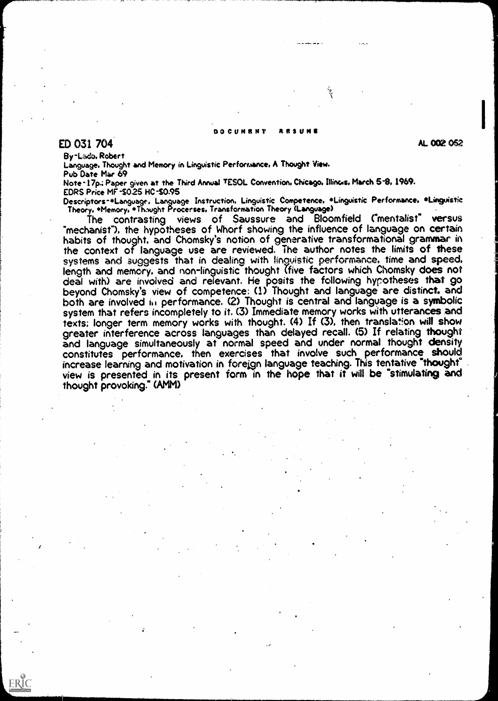## DOCUMRN? RESUME

## ED 031 704

ERIC

AL 002 052

By-Laco. Robert

Language. Thought and Memory in Linguistic Performance. A Thought View. Pub Date Mar 69

Note-17p.; Paper given at the Third Annual TESOL Convention, Chicago, Illincis, March 5-8, 1969. EDRS Price MF-\$025 HC-S0.95

Descriptors-\*Language, Language Instruction, Linguistic Competence, \*Linguistic Performance, \*Linguistic Theory. \*Memory. \*Th.wght Procerses. Transformation Theory (Language)

The contrasting views of Saussure and Bloomfield ("mentalist" versus<br>"mechanist"), the hypotheses of Whorf showing the influence of language on certain habits of thought, and Chomsky's notion of generative transformational grammar in the context of language use are reviewed. The author notes the limits of these systems and suggests that in dealing with linguistic performance, time and speed, length and memory, and non-linguistic thought (five factors which Chomsky does not deal with) are involved and relevant. He posits the following hypotheses that go beyond Chomsky's view of competence: (1) Thought and language are distinct, and both are involved in performance. (2) Thought is central and language is a symbolic system that refers incompletely to it. (3) Immediate memory works with utterances and texts; longer term memory works with thought. (4) If (3), then translation will show greater interference across languages than delayed recall. (5) If relating thought and language simultaneously at normal speed and under normal thought density constitutes performance. then exercises that involve such performance should increase learning and motivation in foreign language teaching. This tentative "thought' view is presented in its present form in the hope that it will be "stimulating and thought provoking." (AMM)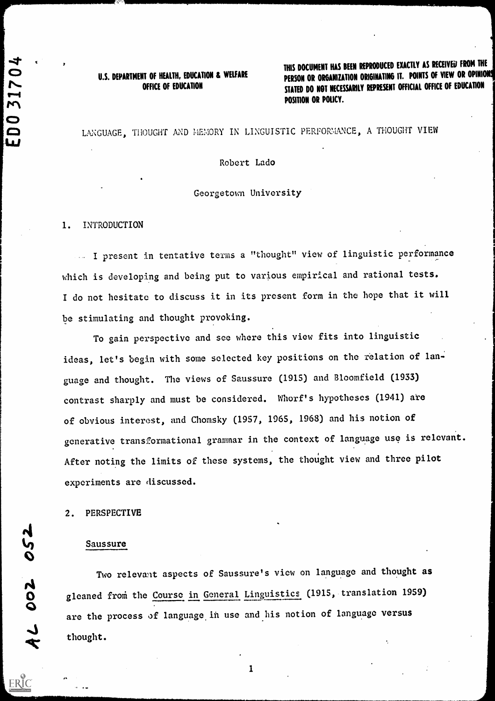# U.S. DEPARTMENT OF HEALTH, EDUCATION & WELFARE<br>OFFICE OF EDUCATION

THIS DOCUMENT HAS BEEN REPRODUCED EXACTLY AS RECEIVED FROM THE PERSON OR ORGANIZATION ORIGINATING IT. POINTS OF VIEW OR OPINIONS STATED DO NOT NECESSARILY REPRESENT OFFICIAL OFFICE OF EDUCATION tee Position or Policy in the Policy of Policy in the Policy in the Policy of Policy in the Policy in the Policy in the Policy in the Policy in the Policy in the Policy in the Policy in the Policy in the Policy in the Poli

## LANGUAGE, THOUGHT AND MEMORY IN LINGUISTIC PERFORMANCE, A THOUGHT VIEW

Robert Lado

#### Georgetown University

#### 1. INTRODUCTION

I present in tentative terms a "thought" view of linguistic performance which is developing and being put to various empirical and rational tests. I do not hesitate to discuss it in its present form in the hope that it will be stimulating and thought provoking.

To gain perspective and see where this view fits into linguistic ideas, let's begin with some selected key positions on the relation of language and thought. The views of Saussure (1915) and Bloomfield (1933) contrast sharply and must be considered. Whorf's hypotheses (1941) are of obvious interest, and Chomsky (1957, 1965, 1968) and his notion of generative transformational grammar in the context of language use is relevant. After noting the limits of these systems, the thought view and three pilot experiments are discussed.

#### 2. PERSPECTIVE

#### Saussure

Two relevant aspects of Saussure's view on language and thought gleaned from the Course in General Linguistics (1915, translation 1959) Siemed 110m are the process of language in use and his notion of language versus  $\downarrow$  thought. thought.

ERIC

 $\mathbf{v}$ 

4JJ

C:)

(:)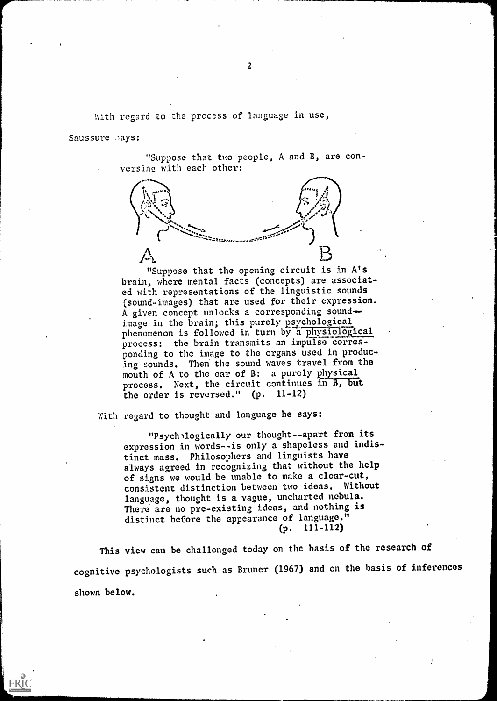With regard to the process of language in use,

Saussure Bays:

ERIC

"Suppose that two people, A and B, are conversing with each other:



"Suppose that the opening circuit is in A's brain, where mental facts (concepts) are associated with representations of the linguistic sounds (sound-images) that are used for their expression. A given concept unlocks a corresponding soundimage in the brain; this purely psychological phenomenon is followed in turn by a physiological process: the brain transmits an impulse corresponding to the image to the organs used in producing sounds. Then the sound waves travel from the mouth of A to the car of B: a purely physical process. Next, the circuit continues in B, but the order is reversed." (p. 11-12)

With regard to thought and language he says:

"Psych logically our thought--apart from its expression in words--is only a shapeless and indistinct mass. Philosophers and linguists have always agreed in recognizing that without the help of signs we would be unable to make a clear-cut, consistent distinction between two ideas. Without language, thought is a vague, uncharted nebula. There are no pre-existing ideas, and nothing is distinct before the appearance of language." (p. 111-112)

This view can be challenged today on the basis of the research of cognitive psychologists such as Bruner (1967) and on the basis of inferences shown below.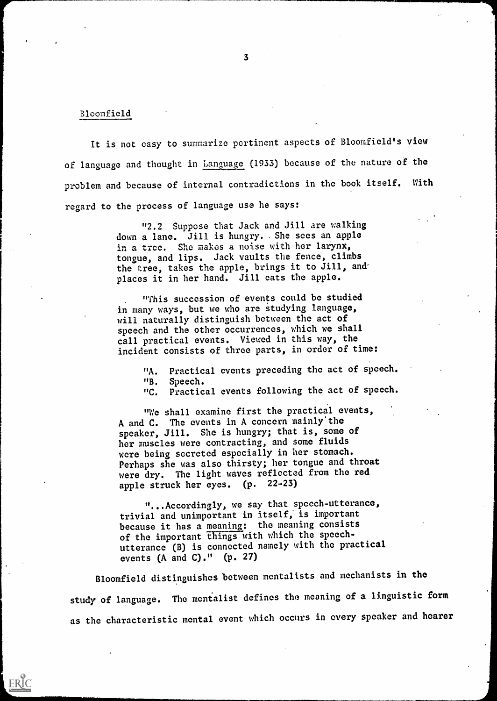## Bloomfield

ERIC

It is not easy to summarize pertinent aspects of Bloomfield's view of language and thought in Language (1933) because of the nature of the problem and because of internal contradictions in the book itself. With regard to the process of language use he says:

> "2.2 Suppose that Jack and Jill are walking down a lane. Jill is hungry.. She sees an apple in a tree. She makes a noise with her larynx, tongue, and lips. Jack vaults the fence, climbs the tree, takes the apple, brings it to Jill, and places it in her hand. Jill cats the apple.

"This succession of events could be studied in many ways, but we who arc studying language, will naturally distinguish between the act of speech and the other occurrences, which we shall call practical events. Viewed in this way, the incident consists of three parts, in order of time:

> "A. Practical events preceding the act of speech. "B. Speech.

"C. Practical events following the act of speech.

"We shall examine first the practical events, A and C. The events in A concern mainly the speaker, Jill. She is hungry; that is, some of her muscles were contracting, and some fluids were being secreted especially in her stomach. Perhaps she was also thirsty; her tongue and throat were dry. The light waves reflected from the red apple struck her eyes. (p. 22-23)

"...Accordingly, we say that speech-utterance, trivial and unimportant in itself; is important because it has a meaning: the meaning consists of the important things with which the speechutterance (B) is connected namely with the practical events (A and C)."  $(p. 27)$ 

Bloomfield distinguishes between mentalists and mechanists in the study of language. The mentalist defines the meaning of a linguistic form as the characteristic mental event which occurs in every speaker and hearer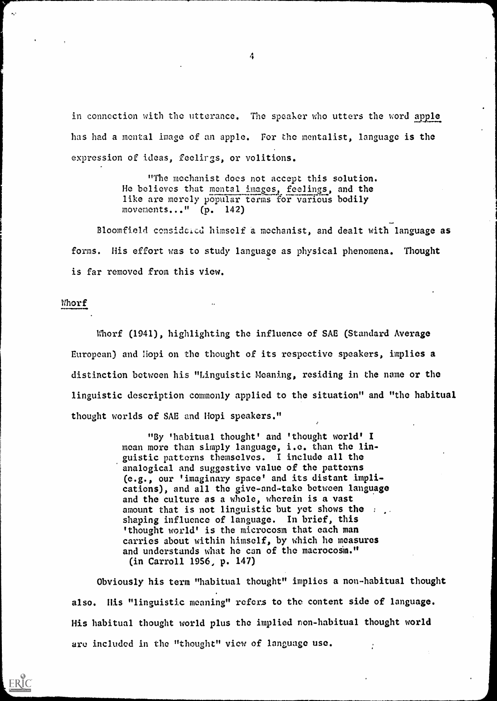in connection with the utterance. The speaker who utters the word apple has had a mental image of an apple. For the mentalist, language is the expression of ideas, feelirgs, or volitions.

> "The mechanist does not accept this solution. He believes that mental images, feelings, and the like are merely popular terms for various bodily movements..." (p. 142)

Bloomfield considcicd himself a mechanist, and dealt with language as forms. His effort was to study language as physical phenomena. Thought is far removed from this view.

#### Whorf

Whorf (1941), highlighting the influence of SAE (Standard Average European) and Hopi on the thought of its respective speakers, implies a distinction between his "Linguistic Meaning, residing in the name or the linguistic description commonly applied to the situation" and "the habitual thought worlds of SAE and Hopi speakers."

> "By 'habitual thought' and 'thought world' I mean more than simply language, i.e. than the linguistic patterns themselves. I include all the analogical and suggestive value of the patterns (e.g., our 'imaginary space' and its distant implications), and all the give-and-take between language and the culture as a whole, wherein is a vast amount that is not linguistic but yet shows the  $\ldots$ . shaping influence of language. In brief, this 'thought world' is the microcosm that each man carries about within himself, by which he measures and understands what he can of the macrocosm." (in Carroll 1956, p. 147)

Obviously his term "habitual thought" implies a non-habitual thought also. His "linguistic meaning" refers to the content side of language. His habitual thought world plus the implied non-habitual thought world are included in the "thought" view of language use.

A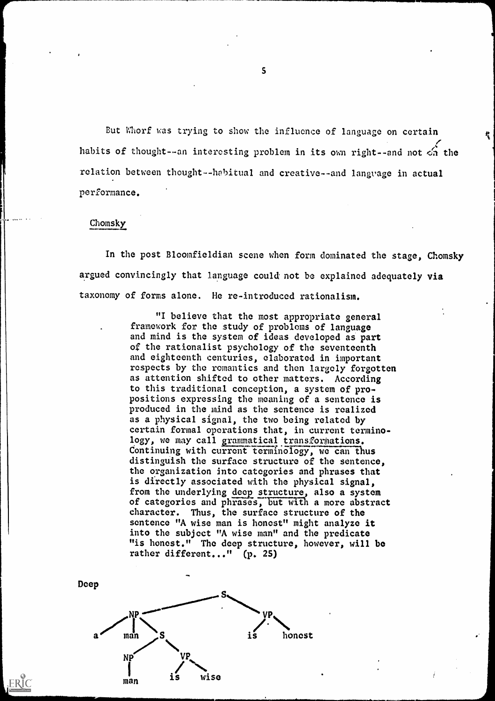But Whorf was trying to show the influence of language on certain habits of thought--an interesting problem in its own right--and not  $\epsilon_n$  the relation between thought -- habitual and creative--and language in actual performance.

Ą.

## Chomsky

ERIC

In the post Bloomfieldian scene when form dominated the stage, Chomsky argued convincingly that language could not be explained adequately via taxonomy of forms alone. He re-introduced rationalism.

> "I believe that the most appropriate general framework for the study of problems of language and mind is the system of ideas developed as part of the rationalist psychology of the seventeenth and eighteenth centuries, elaborated in important respects by the romantics and then largely forgotten as attention shifted to other matters. According to this traditional conception, a system of propositions expressing the meaning of a sentence is produced in the mind as the sentence is realized as a physical signal, the two being related by certain formal operations that, in current terminology, we may call grammatical transformations. Continuing with current terminology, we can thus distinguish the surface structure of the sentence, the organization into categories and phrases that is directly associated with the physical signal, from the underlying deep structure, also a system of categories and phrases, but with a more abstract character. Thus, the surface structure of the sentence "A wise man is honest" might analyze it into the subject "A wise man" and the predicate "is honest." The deep structure, however, will be rather different..." (p. 25)

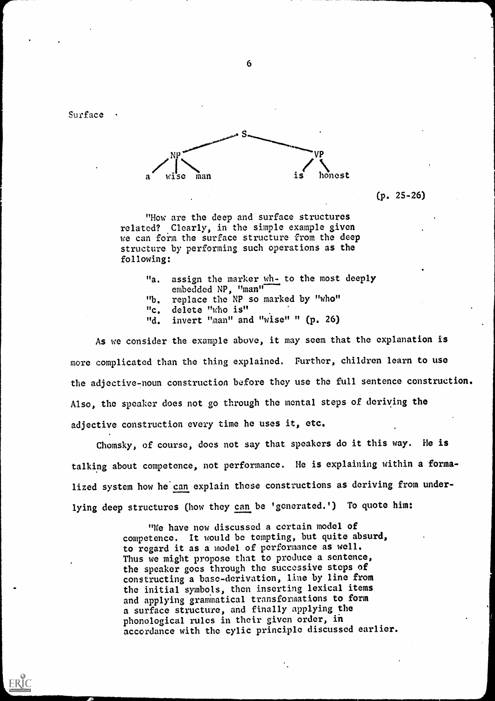Surface

ERIC



(p. 25-26)

"How are the deep and surface structures related? Clearly, in the simple example given we can form the surface structure from the deep structure by performing such operations as the following:

> "a. assign the marker wh- to the most deeply embedded NP, "man" "b. replace the NP so marked by "who" "c. delete "who is"

"d. invert "man" and "wise" " (p. 26)

As we consider the example above, it may seem that the explanation is more complicated than the thing explained. Further, children learn to use the adjective-noun construction before they use the full sentence construction. Also, the speaker does not go through the mental steps of deriving the adjective construction every time he uses it, etc.

Chomsky, of course, does not say that speakers do it this way. He is talking about competence, not performance. He is explaining within a formalized system how he can explain these constructions as deriving from underlying deep structures (how they can be 'generated.') To quote him:

> "We have now discussed a certain model of competence. It would be tempting, but quite absurd, to regard it as a model of performance as well. Thus we might propose that to produce a sentence, the speaker goes through the successive steps of constructing a base-derivation, line by line from the initial symbols, then inserting lexical items and applying grammatical transformations to form a surface structure, and finally applying the phonological rules in their given order, in accordance with the cylic principle discussed earlier.

> > $\ddot{\phantom{0}}$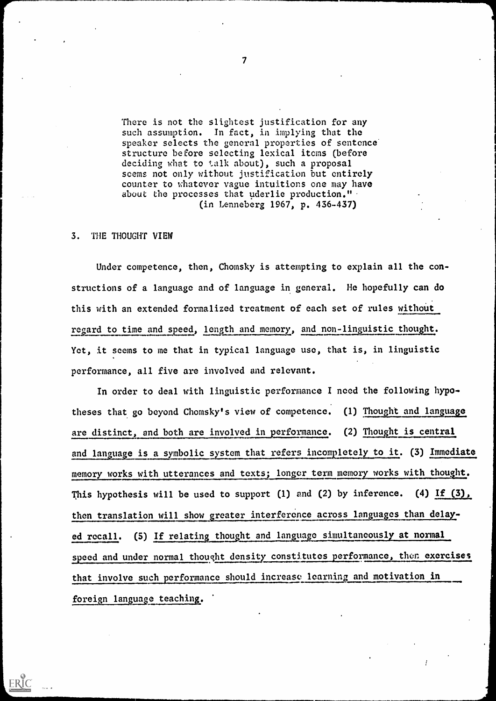There is not the slightest justification for any such assumption. In fact, in implying that the speaker selects the general properties of sentence structure before selecting lexical items (before deciding what to talk about), such a proposal seems not only without justification but entirely counter to whatever vague intuitions one may have about the processes that uderlie production.". (in Lenneberg 1967, p. 436-437)

#### 3. THE THOUGHT VIEW

ERIC

Under competence, then, Chomsky is attempting to explain all the constructions of a language and of language in general. He hopefully can do this with an extended formalized treatment of each set of rules without regard to time and speed, length and memory, and non-linguistic thought: Yet, it seems to me that in typical language use, that is, in linguistic performance, all five are involved and relevant.

In order to deal with linguistic performance I need the following hypotheses that go beyond Chomsky's view of competence. (1) Thought and language are distinct, and both are involved in performance. (2) Thought is central and language is a symbolic system that refers incompletely to it. (3) Immediate memory works with utterances and texts; longer term memory works with thought. This hypothesis will be used to support (1) and (2) by inference. (4) If (3), then translation will show greater interference across languages than delayed recall. (5) If relating thought and language simultaneously at normal speed and under normal thought density constitutes performance, then exercises that involve such performance should increase learning and motivation in foreign language teaching..

 $\overline{\mathbf{7}}$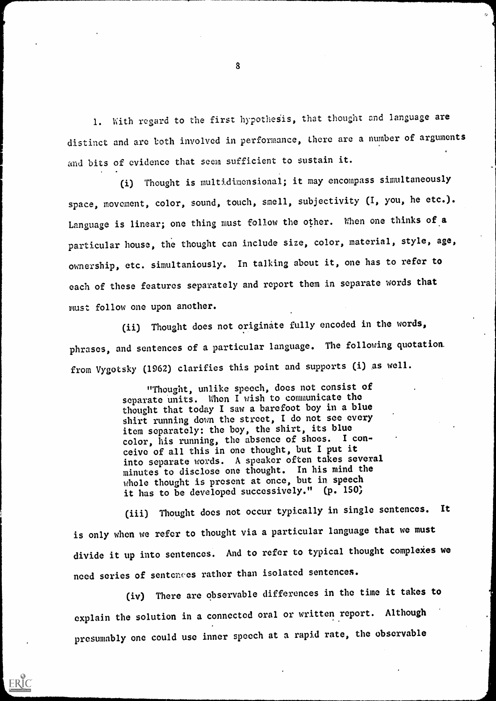1. With regard to the first hypothesis, that thought and language are distinct and arc both involved in performance, there are a number of arguments 4 and bits of evidence that seem sufficient to sustain it.

(i) Thought is multidimensional; it may encompass simultaneously space, movement, color, sound, touch, smell, subjectivity (I, you, he etc.). Language is linear; one thing must follow the other. When one thinks of a particular house, the thought can include size, color, material, style, age, ownership, etc. simultaniously. In talking about it, one has to refer to each of these features separately and report them in separate words that must follow one upon another.

(ii) Thought does not originate fully encoded in the words, phrases, and sentences of a particular language. The following quotation. from Vygotsky (1962) clarifies this point and supports (i) as well.

> "Thought, unlike speech, does not consist of separate units. When I wish to communicate the thought that today I saw a barefoot boy in a blue shirt running down the street, I do not see every item separately: the boy, the shirt, its blue color, his running, the absence of shoes. I conceive of all this in one thought, but I put it into separate words. A speaker often takes several minutes to disclose one thought. In his mind the whole thought is present at once, but in speech it has to be developed successively." (p. 150)

(iii) Thought does not occur typically in single sentences. It is only when we refer to thought via a particular language that we must divide it up into sentences. And to refer to typical thought complexes we need series of sentences rather than isolated sentences.

(iv) There are observable differences in the time it takes to explain the solution in a connected oral or written report. Although presumably one could use inner speech at a rapid rate, the observable

ERIC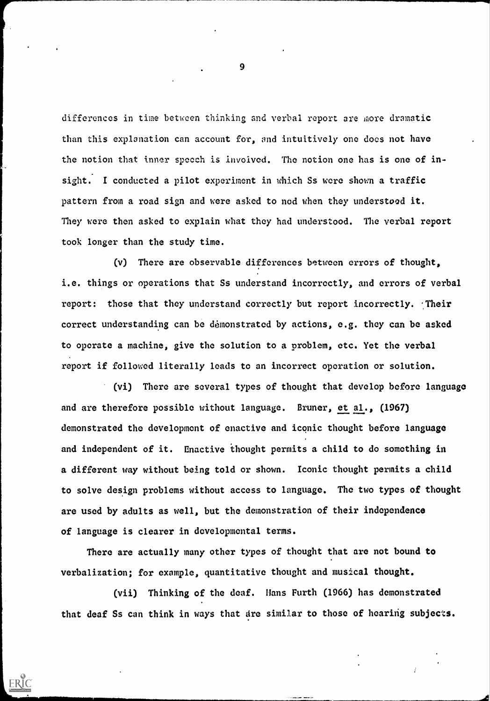differences in time between thinking and verbal report are more dramatic than this explanation can account for, and intuitively one does not have the notion that inner speech is involved. The notion one has is one of insight. I conducted a pilot experiment in which Ss were shown a traffic pattern from a road sign and were asked to nod when they understood it. They were then asked to explain what they had understood. The verbal report took longer than the study time.

(v) There are observable differences between errors of thought, i.e. things or operations that Ss understand incorrectly, and errors of verbal report: those that they understand correctly but report incorrectly. Their correct understanding can be demonstrated by actions, e.g. they can be asked to operate a machine, give the solution to a problem, etc. Yet the verbal report if followed literally leads to an incorrect operation or solution.

(vi) There are several types of thought that develop before language and are therefore possible without language. Bruner, et al., (1967) demonstrated the development of enactive and iconic thought before language and independent of it. Enactive thought permits a child to do something in a different way without being told or shown. Iconic thought permits a child to solve design problems without access to language. The two types of thought are used by adults as well, but the demonstration of their independence of language is clearer in developmental terms.

There are actually many other types of thought that are not bound to verbalization; for example, quantitative thought and musical thought.

ERIC

(vii) Thinking of the deaf. Hans Furth (1966) has demonstrated that deaf Ss can think in ways that are similar to those of hearing subjects.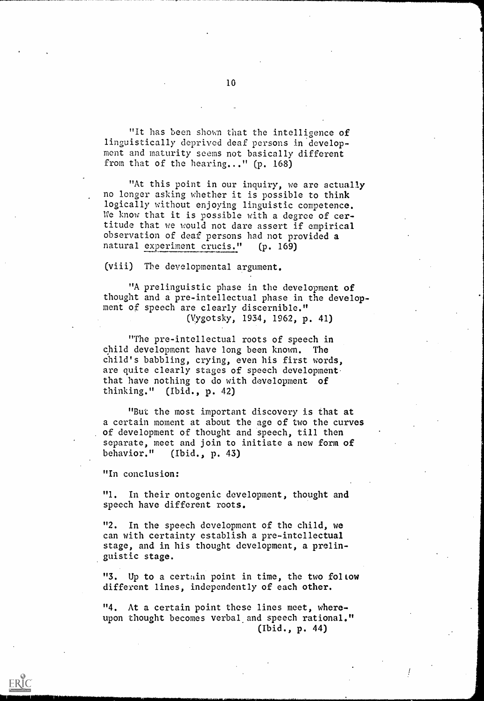"It has been shown that the intelligence of linguistically deprived deaf persons in development and maturity seems not basically different from that of the hearing..." (p. 168)

"At this point in our inquiry, we are actually no longer asking whether it is possible to think logically without enjoying linguistic competence. We know that it is possible with a degree of certitude that we would not dare assert if empirical observation of deaf persons had not provided a natural experiment crucis." (p. 169)

(viii) The developmental argument.

"A prelinguistic phase in the development of thought and a pre-intellectual phase in the development of speech are clearly discernible." (Vygotsky, 1934, 1962, p. 41)

"The pre-intellectual roots of speech in child development have long been known. The child's babbling, crying, even his first words, are quite clearly stages of speech development. that have nothing to do with development of thinking." (Ibid., p. 42)

"But the most important discovery is that at a certain moment at about the age of two the curves of development of thought and speech, till then separate, meet and join to initiate a new form of behavior." (Ibid., p. 43)

"In conclusion:

"1. In their ontogenic development, thought and speech have different roots.

"2. In the speech development of the child, we can with certainty establish a pre-intellectual stage, and in his thought development, a prelinguistic stage.

"3. Up to a certain point in time, the two follow different lines, independently of each other.

"4. At a certain point these lines meet, whereupon thought becomes verbal and speech rational." (Ibid., p. 44)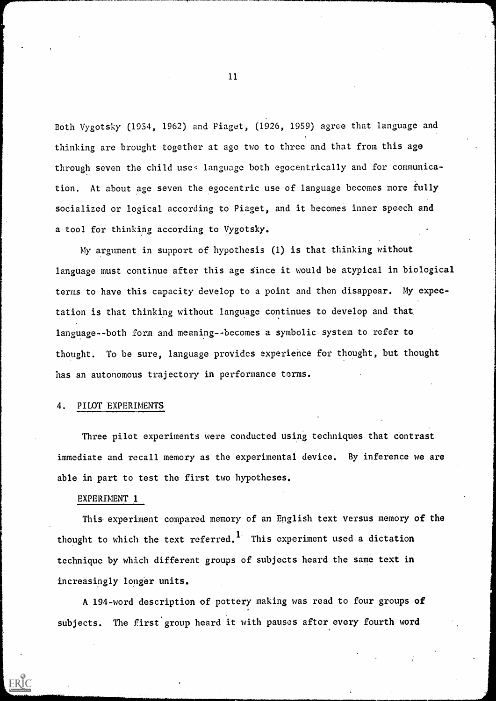Both Vygotsky (1934, 1962) and Piaget, (1926, 1959) agree that language and thinking are brought together at age two to three and that from this age through seven the child uses language both egocentrically and for communication. At about age seven the egocentric use of language becomes more fully socialized or logical according to Piaget, and it becomes inner speech and a tool for thinking according to Vygotsky.

My argument in support of hypothesis (1) is that thinking without language must continue after this age since it would be atypical in biological terms to have this capacity develop to a point and then disappear. My expectation is that thinking without language continues to develop and that language--both form and meaning--becomes a symbolic system to refer to thought. To be sure, language provides experience for thought, but thought has an autonomous trajectory in performance terms.

#### 4. PILOT EXPERIMENTS

Three pilot experiments were conducted using techniques that contrast immediate and recall memory as the experimental device. By inference we are able in part to test the first two hypotheses.

#### EXPERIMENT 1

ERIC

This experiment compared memory of an English text versus memory of the thought to which the text referred.<sup>1</sup> This experiment used a dictation technique by which different groups of subjects heard the same text in increasingly longer units.

A 194-word description of pottery making was read to four groups of subjects. The first group heard it with pauses after every fourth word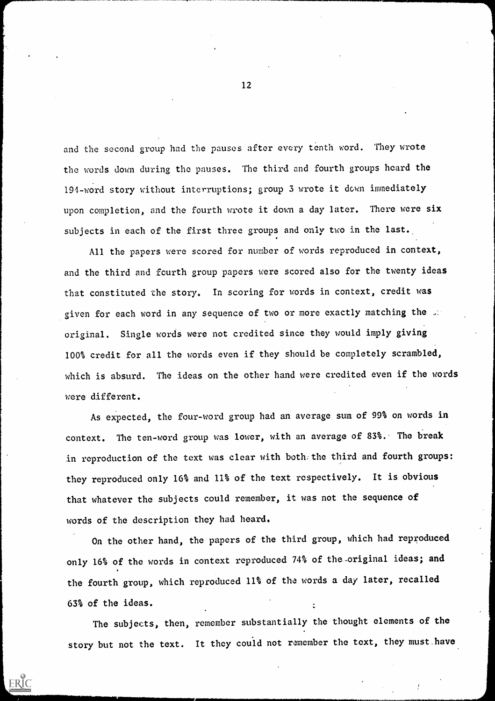and the second group had the pauses after every tenth word. They wrote the words down during the pauses. The third and fourth groups heard the 194-word story without interruptions; group 3 wrote it down immediately upon completion, and the fourth wrote it down a day later. There were six subjects in each of the first three groups and only two in the last.

All the papers were scored for number of words reproduced in context, and the third and fourth group papers were scored also for the twenty ideas that constituted the story. In scoring for words in context, credit was given for each word in any sequence of two or more exactly matching the ... original. Single words were not credited since they would imply giving 100% credit for all the words even if they should be completely scrambled, which is absurd. The ideas on the other hand were credited even if the words were different.

As expected, the four-word group had an average sum of 99% on words in context. The ten-word group was lower, with an average of 83%. The break in reproduction of the text was clear with both the third and fourth groups: they reproduced only 16% and 11% of the text respectively. It is obvious that whatever the subjects could remember, it was not the sequence of words of the description they had heard.

On the other hand, the papers of the third group, which had reproduced only 16% of the words in context reproduced 74% of the-original ideas; and the fourth group, which reproduced 11% of the words a day later, recalled 63% of the ideas.

The subjects, then, remember substantially the thought elements of the story but not the text. It they could not remember the text, they must.have

ERIC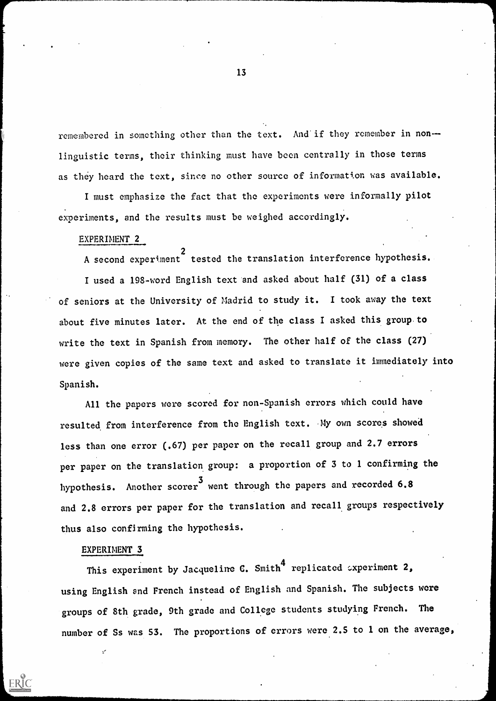remembered in something other than the text. And if they remember in non-linguistic terms, their thinking must have been centrally in those terms as they heard the text, since no other source of information was available.

I must emphasize the fact that the experiments were informally pilot experiments, and the results must be weighed accordingly.

#### EXPERIMENT 2

 $h = -1$ 

 $\sim$  . A second experiment tested the translation interference hypothesis. I used a 198-word English text and asked about half (31) of a class of seniors at the University of Madrid to study it. I took away the text about five minutes later. At the end of the class I asked this group to write the text in Spanish from memory. The other half of the class (27) were given copies of the same text and asked to translate it immediately into Spanish.

All the papers were scored for non-Spanish errors which could have resulted from interference from the English text. My own scores showed less than one error (.67) per paper on the recall group and 2.7 errors per paper on the translation group: a proportion of 3 to 1 confirming the hypothesis. Another scorer <sup>3</sup> went through the papers and recorded 6.8 and 2.8 errors per paper for the translation and recall groups respectively thus also confirming the hypothesis.

#### EXPERIMENT 3

**ERIC** 

This experiment by Jacqueline C. Smith<sup>4</sup> replicated experiment 2. using English and French instead of English and Spanish. The subjects were groups of 8th grade, 9th grade and College students studying French. The number of Ss was 53. The proportions of errors were 2.5 to 1 on the average,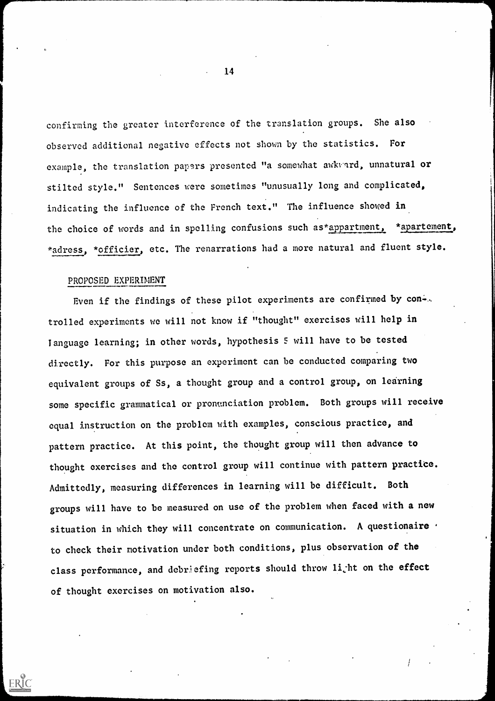confirming the greater interference of the translation groups. She also observed additional negative effects not shown by the statistics. For example, the translation papers presented "a somewhat awkvard, unnatural or stilted style." Sentences were sometimes "unusually long and complicated, indicating the influence of the French text." The influence showed in the choice of words and in spelling confusions such as\*appartment, \*apartement, \*adress, \*officier, etc. The renarrations had a more natural and fluent style.

## PROPOSED EXPERIMENT

ERIC

Even if the findings of these pilot experiments are confirmed by con-.. trolled experiments we will not know if "thought" exercises will help in language learning; in other words, hypothesis 5 will have to be tested directly. For this purpose an experiment can be conducted comparing two equivalent groups of Ss, a thought group and a control group, on learning some specific grammatical or pronunciation problem. Both groups will receive equal instruction on the problem with examples, conscious practice, and pattern practice. At this point, the thought group will then advance to thought exercises and the control group will continue with pattern practice. Admittedly, measuring differences in learning will be difficult. Both groups will have to be measured on use of the problem when faced with a new situation in which they will concentrate on communication. A questionaire  $\cdot$ to check their motivation under both conditions, plus observation of the class performance, and debriefing reports should throw li<sub>c</sub>ht on the effect of thought exercises on motivation also.

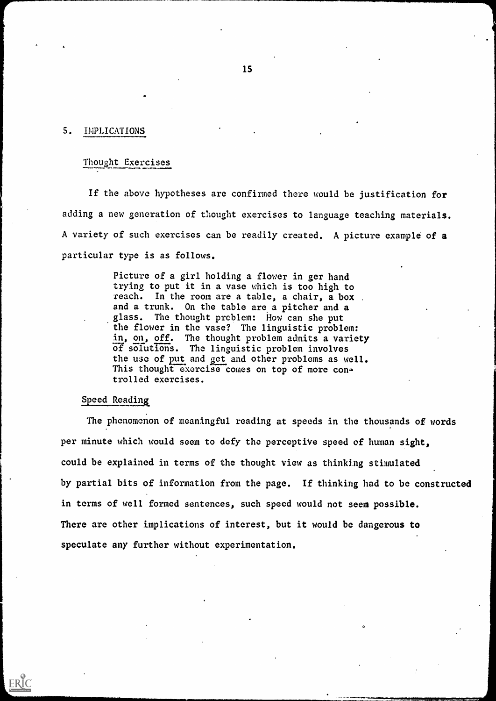## 5. IMPLICATIONS

## Thought Exercises

If the above hypotheses are confirmed there would be justification for adding a new generation of thought exercises to language teaching materials. A variety of such exercises can be readily created. A picture example of a particular type is as follows.

> Picture of a girl holding a flower in ger hand trying to put it in a vase which is too high to reach. In the room are a table, a chair, a box and a trunk. On the table are a pitcher and a glass. The thought problem: How can she put the flower in the vase? The linguistic problem: in, on, off. The thought problem admits a variety of solutions. The linguistic problem involves the use of put and get and other problems as well. This thought exercise comes on top of more controlled exercises.

### Speed Reading

ERIC

The phenomenon of meaningful reading at speeds in the thousands of words per minute which would seem to defy the perceptive speed of human sight, could be explained in terms of the thought view as thinking stimulated by partial bits of information from the page. If thinking had to be constructed in terms of well formed sentences, such speed would not seem possible. There are other implications of interest, but it would be dangerous to speculate any further without experimentation.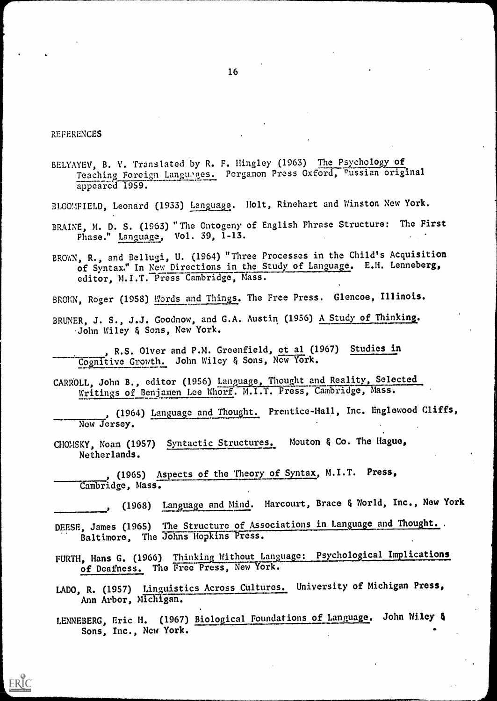#### REFERENCES

**ERIC** 

BELYAYEV, B. V. Translated by R. F. Ilingley (1963) The Psychology of Teaching Foreign Languages. Pergamon Press Oxford, Pussian original appeared 1959.

- BLOOMFIELD, Leonard (1933) Language. Holt, Rinehart and Winston New York.
- BRAINE, M. D. S. (1963) "The Ontogeny of English Phrase Structure: The First Phase." Language, Vol. 39, 1-13.

BROWN, R., and Bellugi, U. (1964) "Three Processes in the Child's Acquisition of Syntax." In New Directions in the Study of Language. E.H. Lenneberg, editor, M.I.T. Press Cambridge, Mass.

BROWN, Roger (1958) Words and Things. The Free Press. Glencoe, Illinois.

BRUNER, J. S., J.J. Goodnow, and G.A. Austin (1956) A Study of Thinking. John Wiley & Sons, New York.

, R.S. Olver and P.M. Greenfield, et al (1967) Studies in Cognitive Growth. John Wiley & Sons, Now York.

CARROLL, John B., editor (1956) Language, Thought and Reality, Selected Writings of Benjamen Lee Whorf. M.I.T. Press, Cambridge, Mass.

, (1964) Language and Thought. Prentice-Hall, Inc. Englewood Cliffs,  $\qquad$ New Jersey.

CIIOMSKY, Noam (1957) Syntactic Structures. Mouton & Co. The Hague, Netherlands.

(1965) Aspects of the Theory of Syntax, M.I.T. Press, Cambridge, Mass.

, (1968) Language and Mind. Harcourt, Brace & World, Inc., New York

DEESE, James (1965) The Structure of Associations in Language and Thought.. Baltimore, The Johns Hopkins Press.

FURTH, Hans G. (1966) Thinking Without Language: Psychological Implications of Deafness. The Free Press, New York.

- LADO, R. (1957) Linguistics Across Cultures. University of Michigan Press, Ann Arbor, Michigan.
- LENNEBERG, Eric H. (1967) Biological Foundations of Language. John Wiley & Sons, Inc., New York.